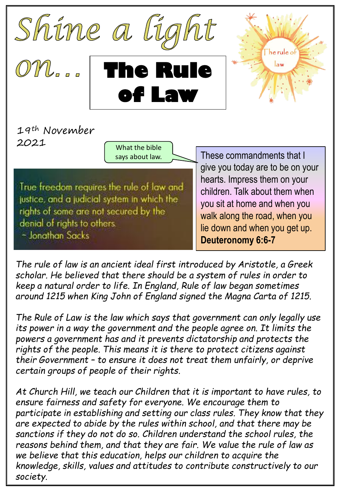

**of Law**

19th November 2021

What the bible says about law.

True freedom requires the rule of law and justice, and a judicial system in which the rights of some are not secured by the denial of rights to others. - Jonathan Sacks

These commandments that I give you today are to be on your hearts. Impress them on your children. Talk about them when you sit at home and when you walk along the road, when you lie down and when you get up. **Deuteronomy 6:6-7**

*The rule of law is an ancient ideal first introduced by Aristotle, a Greek scholar. He believed that there should be a system of rules in order to keep a natural order to life. In England, Rule of law began sometimes around 1215 when King John of England signed the Magna Carta of 1215.*

*The Rule of Law is the law which says that government can only legally use its power in a way the government and the people agree on. It limits the powers a government has and it prevents dictatorship and protects the rights of the people. This means it is there to protect citizens against their Government – to ensure it does not treat them unfairly, or deprive certain groups of people of their rights.* 

*At Church Hill, we teach our Children that it is important to have rules, to ensure fairness and safety for everyone. We encourage them to participate in establishing and setting our class rules. They know that they are expected to abide by the rules within school, and that there may be sanctions if they do not do so. Children understand the school rules, the reasons behind them, and that they are fair. We value the rule of law as we believe that this education, helps our children to acquire the knowledge, skills, values and attitudes to contribute constructively to our society.*